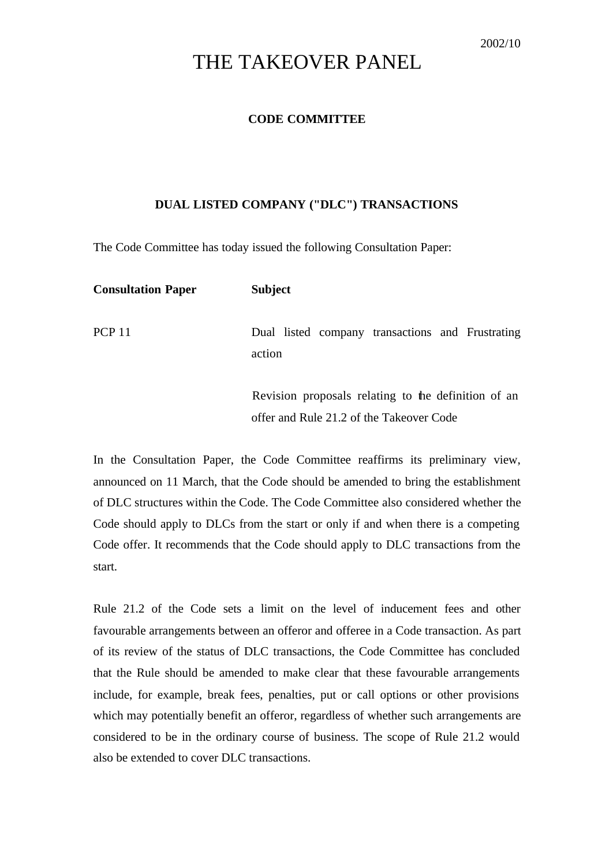## THE TAKEOVER PANEL

## **CODE COMMITTEE**

## **DUAL LISTED COMPANY ("DLC") TRANSACTIONS**

The Code Committee has today issued the following Consultation Paper:

| <b>Consultation Paper</b> | <b>Subject</b>                                                                                  |
|---------------------------|-------------------------------------------------------------------------------------------------|
| <b>PCP 11</b>             | Dual listed company transactions and Frustrating<br>action                                      |
|                           | Revision proposals relating to the definition of an<br>offer and Rule 21.2 of the Takeover Code |

In the Consultation Paper, the Code Committee reaffirms its preliminary view, announced on 11 March, that the Code should be amended to bring the establishment of DLC structures within the Code. The Code Committee also considered whether the Code should apply to DLCs from the start or only if and when there is a competing Code offer. It recommends that the Code should apply to DLC transactions from the start.

Rule 21.2 of the Code sets a limit on the level of inducement fees and other favourable arrangements between an offeror and offeree in a Code transaction. As part of its review of the status of DLC transactions, the Code Committee has concluded that the Rule should be amended to make clear that these favourable arrangements include, for example, break fees, penalties, put or call options or other provisions which may potentially benefit an offeror, regardless of whether such arrangements are considered to be in the ordinary course of business. The scope of Rule 21.2 would also be extended to cover DLC transactions.